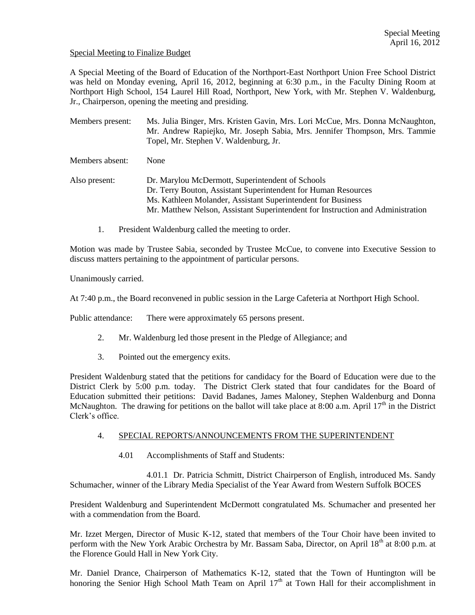# Special Meeting to Finalize Budget

A Special Meeting of the Board of Education of the Northport-East Northport Union Free School District was held on Monday evening, April 16, 2012, beginning at 6:30 p.m., in the Faculty Dining Room at Northport High School, 154 Laurel Hill Road, Northport, New York, with Mr. Stephen V. Waldenburg, Jr., Chairperson, opening the meeting and presiding.

Members present: Ms. Julia Binger, Mrs. Kristen Gavin, Mrs. Lori McCue, Mrs. Donna McNaughton, Mr. Andrew Rapiejko, Mr. Joseph Sabia, Mrs. Jennifer Thompson, Mrs. Tammie Topel, Mr. Stephen V. Waldenburg, Jr.

Members absent: None

Also present: Dr. Marylou McDermott, Superintendent of Schools Dr. Terry Bouton, Assistant Superintendent for Human Resources Ms. Kathleen Molander, Assistant Superintendent for Business Mr. Matthew Nelson, Assistant Superintendent for Instruction and Administration

1. President Waldenburg called the meeting to order.

Motion was made by Trustee Sabia, seconded by Trustee McCue, to convene into Executive Session to discuss matters pertaining to the appointment of particular persons.

Unanimously carried.

At 7:40 p.m., the Board reconvened in public session in the Large Cafeteria at Northport High School.

Public attendance: There were approximately 65 persons present.

- 2. Mr. Waldenburg led those present in the Pledge of Allegiance; and
- 3. Pointed out the emergency exits.

President Waldenburg stated that the petitions for candidacy for the Board of Education were due to the District Clerk by 5:00 p.m. today. The District Clerk stated that four candidates for the Board of Education submitted their petitions: David Badanes, James Maloney, Stephen Waldenburg and Donna McNaughton. The drawing for petitions on the ballot will take place at 8:00 a.m. April  $17<sup>th</sup>$  in the District Clerk's office.

#### 4. SPECIAL REPORTS/ANNOUNCEMENTS FROM THE SUPERINTENDENT

4.01 Accomplishments of Staff and Students:

4.01.1 Dr. Patricia Schmitt, District Chairperson of English, introduced Ms. Sandy Schumacher, winner of the Library Media Specialist of the Year Award from Western Suffolk BOCES

President Waldenburg and Superintendent McDermott congratulated Ms. Schumacher and presented her with a commendation from the Board.

Mr. Izzet Mergen, Director of Music K-12, stated that members of the Tour Choir have been invited to perform with the New York Arabic Orchestra by Mr. Bassam Saba, Director, on April 18<sup>th</sup> at 8:00 p.m. at the Florence Gould Hall in New York City.

Mr. Daniel Drance, Chairperson of Mathematics K-12, stated that the Town of Huntington will be honoring the Senior High School Math Team on April  $17<sup>th</sup>$  at Town Hall for their accomplishment in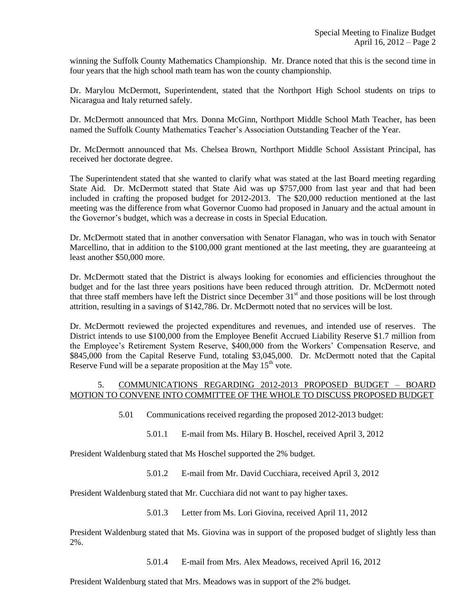winning the Suffolk County Mathematics Championship. Mr. Drance noted that this is the second time in four years that the high school math team has won the county championship.

Dr. Marylou McDermott, Superintendent, stated that the Northport High School students on trips to Nicaragua and Italy returned safely.

Dr. McDermott announced that Mrs. Donna McGinn, Northport Middle School Math Teacher, has been named the Suffolk County Mathematics Teacher's Association Outstanding Teacher of the Year.

Dr. McDermott announced that Ms. Chelsea Brown, Northport Middle School Assistant Principal, has received her doctorate degree.

The Superintendent stated that she wanted to clarify what was stated at the last Board meeting regarding State Aid. Dr. McDermott stated that State Aid was up \$757,000 from last year and that had been included in crafting the proposed budget for 2012-2013. The \$20,000 reduction mentioned at the last meeting was the difference from what Governor Cuomo had proposed in January and the actual amount in the Governor's budget, which was a decrease in costs in Special Education.

Dr. McDermott stated that in another conversation with Senator Flanagan, who was in touch with Senator Marcellino, that in addition to the \$100,000 grant mentioned at the last meeting, they are guaranteeing at least another \$50,000 more.

Dr. McDermott stated that the District is always looking for economies and efficiencies throughout the budget and for the last three years positions have been reduced through attrition. Dr. McDermott noted that three staff members have left the District since December 31<sup>st</sup> and those positions will be lost through attrition, resulting in a savings of \$142,786. Dr. McDermott noted that no services will be lost.

Dr. McDermott reviewed the projected expenditures and revenues, and intended use of reserves. The District intends to use \$100,000 from the Employee Benefit Accrued Liability Reserve \$1.7 million from the Employee's Retirement System Reserve, \$400,000 from the Workers' Compensation Reserve, and \$845,000 from the Capital Reserve Fund, totaling \$3,045,000. Dr. McDermott noted that the Capital Reserve Fund will be a separate proposition at the May  $15<sup>th</sup>$  vote.

# 5. COMMUNICATIONS REGARDING 2012-2013 PROPOSED BUDGET – BOARD MOTION TO CONVENE INTO COMMITTEE OF THE WHOLE TO DISCUSS PROPOSED BUDGET

- 5.01 Communications received regarding the proposed 2012-2013 budget:
	- 5.01.1 E-mail from Ms. Hilary B. Hoschel, received April 3, 2012

President Waldenburg stated that Ms Hoschel supported the 2% budget.

5.01.2 E-mail from Mr. David Cucchiara, received April 3, 2012

President Waldenburg stated that Mr. Cucchiara did not want to pay higher taxes.

5.01.3 Letter from Ms. Lori Giovina, received April 11, 2012

President Waldenburg stated that Ms. Giovina was in support of the proposed budget of slightly less than 2%.

5.01.4 E-mail from Mrs. Alex Meadows, received April 16, 2012

President Waldenburg stated that Mrs. Meadows was in support of the 2% budget.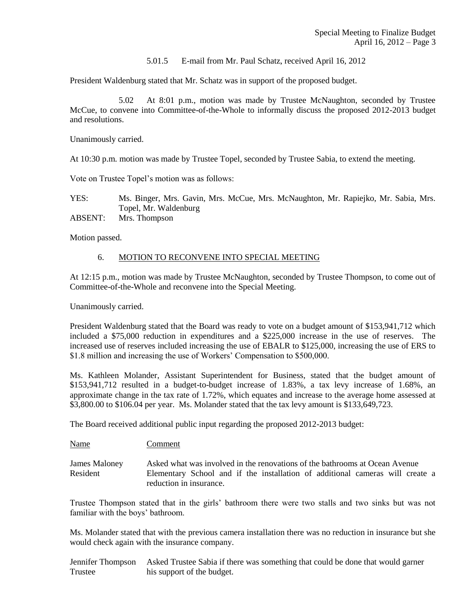#### 5.01.5 E-mail from Mr. Paul Schatz, received April 16, 2012

President Waldenburg stated that Mr. Schatz was in support of the proposed budget.

5.02 At 8:01 p.m., motion was made by Trustee McNaughton, seconded by Trustee McCue, to convene into Committee-of-the-Whole to informally discuss the proposed 2012-2013 budget and resolutions.

Unanimously carried.

At 10:30 p.m. motion was made by Trustee Topel, seconded by Trustee Sabia, to extend the meeting.

Vote on Trustee Topel's motion was as follows:

YES: Ms. Binger, Mrs. Gavin, Mrs. McCue, Mrs. McNaughton, Mr. Rapiejko, Mr. Sabia, Mrs. Topel, Mr. Waldenburg

ABSENT: Mrs. Thompson

Motion passed.

#### 6. MOTION TO RECONVENE INTO SPECIAL MEETING

At 12:15 p.m., motion was made by Trustee McNaughton, seconded by Trustee Thompson, to come out of Committee-of-the-Whole and reconvene into the Special Meeting.

Unanimously carried.

President Waldenburg stated that the Board was ready to vote on a budget amount of \$153,941,712 which included a \$75,000 reduction in expenditures and a \$225,000 increase in the use of reserves. The increased use of reserves included increasing the use of EBALR to \$125,000, increasing the use of ERS to \$1.8 million and increasing the use of Workers' Compensation to \$500,000.

Ms. Kathleen Molander, Assistant Superintendent for Business, stated that the budget amount of \$153,941,712 resulted in a budget-to-budget increase of 1.83%, a tax levy increase of 1.68%, an approximate change in the tax rate of 1.72%, which equates and increase to the average home assessed at \$3,800.00 to \$106.04 per year. Ms. Molander stated that the tax levy amount is \$133,649,723.

The Board received additional public input regarding the proposed 2012-2013 budget:

Name Comment

James Maloney Asked what was involved in the renovations of the bathrooms at Ocean Avenue Resident Elementary School and if the installation of additional cameras will create a reduction in insurance.

Trustee Thompson stated that in the girls' bathroom there were two stalls and two sinks but was not familiar with the boys' bathroom.

Ms. Molander stated that with the previous camera installation there was no reduction in insurance but she would check again with the insurance company.

Jennifer Thompson Asked Trustee Sabia if there was something that could be done that would garner Trustee his support of the budget.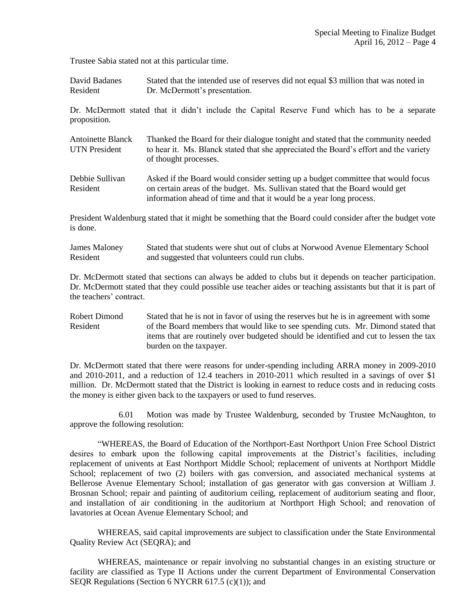Trustee Sabia stated not at this particular time.

David Badanes Stated that the intended use of reserves did not equal \$3 million that was noted in Resident Dr. McDermott's presentation.

Dr. McDermott stated that it didn't include the Capital Reserve Fund which has to be a separate proposition.

| <b>Antoinette Blanck</b> | Thanked the Board for their dialogue tonight and stated that the community needed     |
|--------------------------|---------------------------------------------------------------------------------------|
| <b>UTN</b> President     | to hear it. Ms. Blanck stated that she appreciated the Board's effort and the variety |
|                          | of thought processes.                                                                 |

Debbie Sullivan Asked if the Board would consider setting up a budget committee that would focus Resident on certain areas of the budget. Ms. Sullivan stated that the Board would get information ahead of time and that it would be a year long process.

President Waldenburg stated that it might be something that the Board could consider after the budget vote is done.

James Maloney Stated that students were shut out of clubs at Norwood Avenue Elementary School Resident and suggested that volunteers could run clubs.

Dr. McDermott stated that sections can always be added to clubs but it depends on teacher participation. Dr. McDermott stated that they could possible use teacher aides or teaching assistants but that it is part of the teachers' contract.

Robert Dimond Stated that he is not in favor of using the reserves but he is in agreement with some Resident of the Board members that would like to see spending cuts. Mr. Dimond stated that items that are routinely over budgeted should be identified and cut to lessen the tax burden on the taxpayer.

Dr. McDermott stated that there were reasons for under-spending including ARRA money in 2009-2010 and 2010-2011, and a reduction of 12.4 teachers in 2010-2011 which resulted in a savings of over \$1 million. Dr. McDermott stated that the District is looking in earnest to reduce costs and in reducing costs the money is either given back to the taxpayers or used to fund reserves.

6.01 Motion was made by Trustee Waldenburg, seconded by Trustee McNaughton, to approve the following resolution:

"WHEREAS, the Board of Education of the Northport-East Northport Union Free School District desires to embark upon the following capital improvements at the District's facilities, including replacement of univents at East Northport Middle School; replacement of univents at Northport Middle School; replacement of two (2) boilers with gas conversion, and associated mechanical systems at Bellerose Avenue Elementary School; installation of gas generator with gas conversion at William J. Brosnan School; repair and painting of auditorium ceiling, replacement of auditorium seating and floor, and installation of air conditioning in the auditorium at Northport High School; and renovation of lavatories at Ocean Avenue Elementary School; and

WHEREAS, said capital improvements are subject to classification under the State Environmental Quality Review Act (SEQRA); and

WHEREAS, maintenance or repair involving no substantial changes in an existing structure or facility are classified as Type II Actions under the current Department of Environmental Conservation SEQR Regulations (Section 6 NYCRR 617.5 (c)(1)); and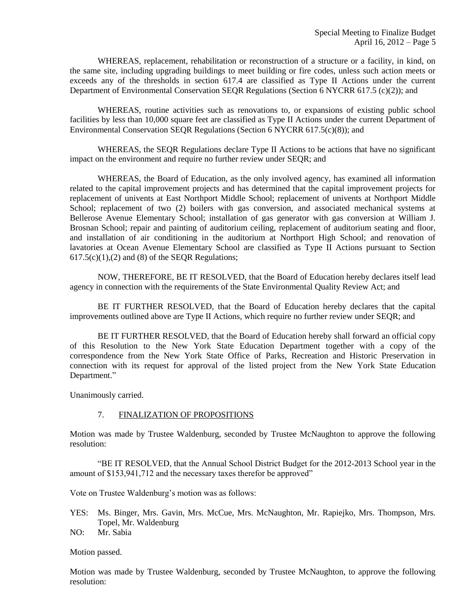WHEREAS, replacement, rehabilitation or reconstruction of a structure or a facility, in kind, on the same site, including upgrading buildings to meet building or fire codes, unless such action meets or exceeds any of the thresholds in section 617.4 are classified as Type II Actions under the current Department of Environmental Conservation SEQR Regulations (Section 6 NYCRR 617.5 (c)(2)); and

WHEREAS, routine activities such as renovations to, or expansions of existing public school facilities by less than 10,000 square feet are classified as Type II Actions under the current Department of Environmental Conservation SEQR Regulations (Section 6 NYCRR 617.5(c)(8)); and

WHEREAS, the SEQR Regulations declare Type II Actions to be actions that have no significant impact on the environment and require no further review under SEQR; and

WHEREAS, the Board of Education, as the only involved agency, has examined all information related to the capital improvement projects and has determined that the capital improvement projects for replacement of univents at East Northport Middle School; replacement of univents at Northport Middle School; replacement of two (2) boilers with gas conversion, and associated mechanical systems at Bellerose Avenue Elementary School; installation of gas generator with gas conversion at William J. Brosnan School; repair and painting of auditorium ceiling, replacement of auditorium seating and floor, and installation of air conditioning in the auditorium at Northport High School; and renovation of lavatories at Ocean Avenue Elementary School are classified as Type II Actions pursuant to Section  $617.5(c)(1)$ , (2) and (8) of the SEQR Regulations;

NOW, THEREFORE, BE IT RESOLVED, that the Board of Education hereby declares itself lead agency in connection with the requirements of the State Environmental Quality Review Act; and

BE IT FURTHER RESOLVED, that the Board of Education hereby declares that the capital improvements outlined above are Type II Actions, which require no further review under SEQR; and

BE IT FURTHER RESOLVED, that the Board of Education hereby shall forward an official copy of this Resolution to the New York State Education Department together with a copy of the correspondence from the New York State Office of Parks, Recreation and Historic Preservation in connection with its request for approval of the listed project from the New York State Education Department."

Unanimously carried.

## 7. FINALIZATION OF PROPOSITIONS

Motion was made by Trustee Waldenburg, seconded by Trustee McNaughton to approve the following resolution:

"BE IT RESOLVED, that the Annual School District Budget for the 2012-2013 School year in the amount of \$153,941,712 and the necessary taxes therefor be approved"

Vote on Trustee Waldenburg's motion was as follows:

- YES: Ms. Binger, Mrs. Gavin, Mrs. McCue, Mrs. McNaughton, Mr. Rapiejko, Mrs. Thompson, Mrs. Topel, Mr. Waldenburg
- NO: Mr. Sabia

Motion passed.

Motion was made by Trustee Waldenburg, seconded by Trustee McNaughton, to approve the following resolution: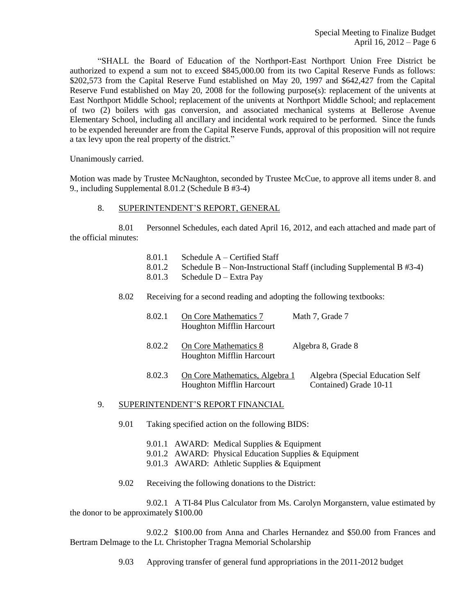"SHALL the Board of Education of the Northport-East Northport Union Free District be authorized to expend a sum not to exceed \$845,000.00 from its two Capital Reserve Funds as follows: \$202,573 from the Capital Reserve Fund established on May 20, 1997 and \$642,427 from the Capital Reserve Fund established on May 20, 2008 for the following purpose(s): replacement of the univents at East Northport Middle School; replacement of the univents at Northport Middle School; and replacement of two (2) boilers with gas conversion, and associated mechanical systems at Bellerose Avenue Elementary School, including all ancillary and incidental work required to be performed. Since the funds to be expended hereunder are from the Capital Reserve Funds, approval of this proposition will not require a tax levy upon the real property of the district."

Unanimously carried.

Motion was made by Trustee McNaughton, seconded by Trustee McCue, to approve all items under 8. and 9., including Supplemental 8.01.2 (Schedule B #3-4)

### 8. SUPERINTENDENT'S REPORT, GENERAL

8.01 Personnel Schedules, each dated April 16, 2012, and each attached and made part of the official minutes:

- 8.01.1 Schedule A Certified Staff
- 8.01.2 Schedule B Non-Instructional Staff (including Supplemental B #3-4)
- 8.01.3 Schedule D Extra Pay
- 8.02 Receiving for a second reading and adopting the following textbooks:

| 8.02.1 | On Core Mathematics 7<br><b>Houghton Mifflin Harcourt</b>          | Math 7, Grade 7                                           |
|--------|--------------------------------------------------------------------|-----------------------------------------------------------|
| 8.02.2 | On Core Mathematics 8<br><b>Houghton Mifflin Harcourt</b>          | Algebra 8, Grade 8                                        |
| 8.02.3 | On Core Mathematics, Algebra 1<br><b>Houghton Mifflin Harcourt</b> | Algebra (Special Education Self<br>Contained) Grade 10-11 |

#### 9. SUPERINTENDENT'S REPORT FINANCIAL

- 9.01 Taking specified action on the following BIDS:
	- 9.01.1 AWARD: Medical Supplies & Equipment
	- 9.01.2 AWARD: Physical Education Supplies & Equipment
	- 9.01.3 AWARD: Athletic Supplies & Equipment
- 9.02 Receiving the following donations to the District:

9.02.1 A TI-84 Plus Calculator from Ms. Carolyn Morganstern, value estimated by the donor to be approximately \$100.00

9.02.2 \$100.00 from Anna and Charles Hernandez and \$50.00 from Frances and Bertram Delmage to the Lt. Christopher Tragna Memorial Scholarship

9.03 Approving transfer of general fund appropriations in the 2011-2012 budget